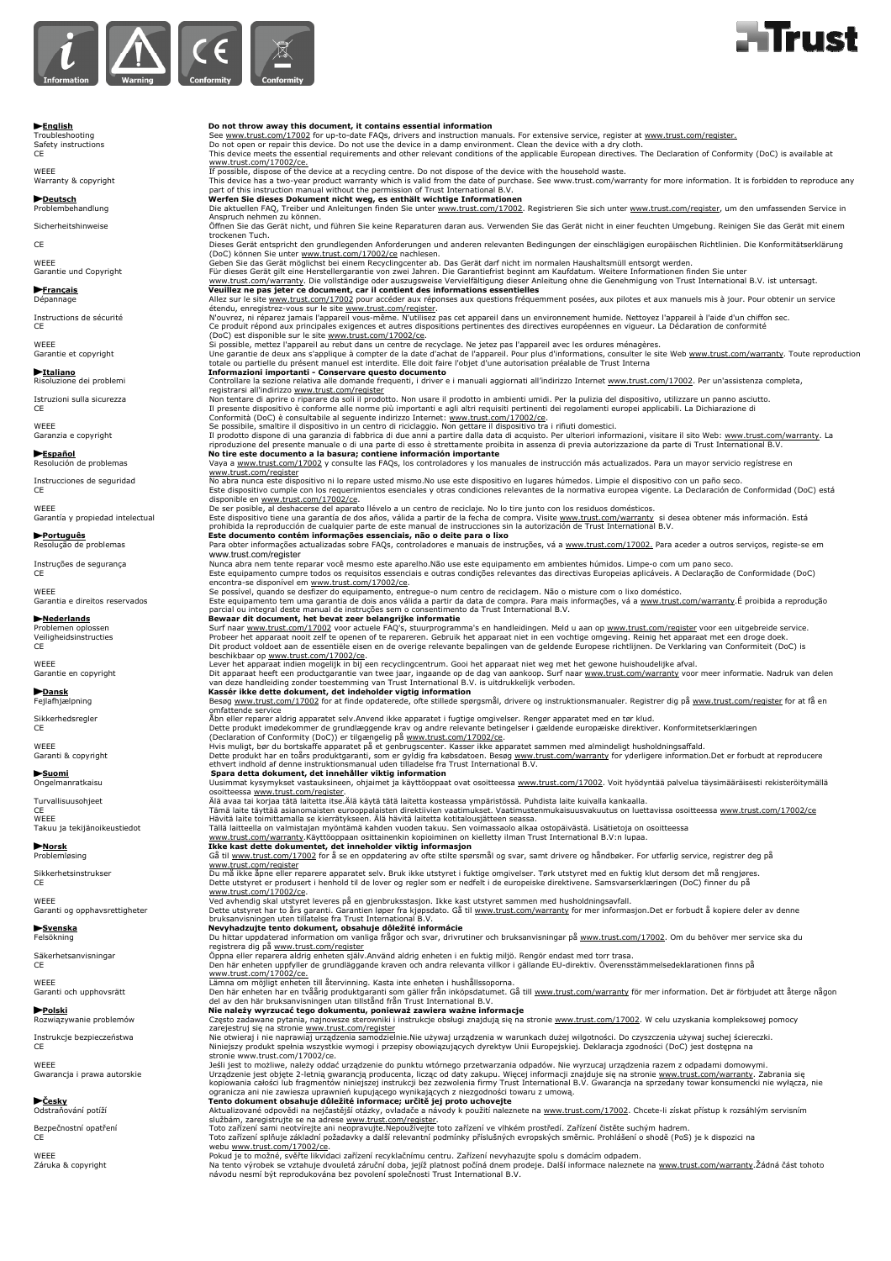



# **Finglish**<br>Troubleshooting stream the Seal of throw away this document, it contains essential information manuals. For extensive service, register at www.trust.com/register.<br>Safety instructions stream the Seal of open or www.trust.com/17002/ce.<br>If possible, dispose of the device at a recycling centre. Do not dispose of the device with the household waste.<br>Warranty & copyright<br>part of this instruction manual without the permission of Trust **>Deutsch** Deutsch (Werfen Sie dieses Dokument nicht weg, es enthält wichtige Informationen<br>Problembehandlung and the aktuellen FAQ, Treiber und Anleitungen finden Sie unter <u>www.trust.com/17002</u>. Registrieren Sie sich unt Anspruch nehmen zu können.<br>Öffnen Sie führen Sie das Gerät nicht, und führen Sie keine Reparaturen daran aus. Verwenden Sie das Gerät nicht in einer feuchten Umgebung. Reinigen Sie das Gerät mit einem<br>trockenen Tuch.<br>CE Ch (DoC) können Sie unter <u>www.trust.com/17002/ce</u> nachlesen.<br>Garantie und Copyright Geoper Sie dis Gerät möglichst bei einem Recyclingcenter ab. Das Gerät darf nicht im normalen Haushaltsmüll entsorgt werden.<br>Garantie und Co étendu, enregistrez-vous sur le site www.trust.com/register and ans un environnement humide. Nettoyez l'appareil à l'aide d'un chiffon sec.<br>CE CE produit répond aux principales exigences et autres dispositions pertinentes Tromanazion in importanti - Conservante descept documento a la serie de transmit in the controllare la sezione relativa alle domande frequenti, i driver e i manuali aggiornati all'indirizzo thermet <u>www.trust.com/17002</u>. Instrucciones de seguridad No abra nunca este dispositivo ni lo repare usted mismo.No use este dispositivo en lugares húmedos. Limpie el dispositivo con un paño seco.<br>CE disponible en <u>www.trust.com/17002/ce</u>.<br>De ser posible, al deshacerse del aparato llévelo a un centro de reciclaje. No lo tire junto con los residuos domésticos.<br>Garantía y propiedad intelectual formación. Está dispositivo prohibida la reproducción de cualquier parte de este manual de instrucciones sin la autorización de Trust International B.V. **► Português** Corpolenas Corpolenas este documento contém informações essenciais, não o deite para o lixo<br>Resolução de problemas Corpolenas exterinformações actualizadas sobre FAQs, controladores e manuais de instruções, www.trust.com/register Instruções de segurança Nunca abra nem tente reparar você mesmo este aparelho.Não use este equipamento em ambientes húmidos. Limpe-o com um pano seco. CE Este equipamento cumpre todos os requisitos essenciais e outras condições relevantes das directivas Europeias aplicáveis. A Declaração de Conformidade (DoC) encontra-se disponível em <u>www.trust.com/17002/ce</u>.<br>Se possível, quando se desfizer do equipamento, entregue-o num centro de reciclagem. Não o misture com o lixo doméstico.<br>Este equipamento tem una garantia de doi anos vál Frederiands<br>
Frederick comment in the beat steer belanging it information and intervalsance in the paper in the paper in the paper in the space in the space in the space in the space in the space in the space in the spac **→ Suomi**<br>
Spara detta dokument, det innehåller viktig information<br>
Ongelmanratkaisu Uusimmat kysymykset vastauksineen, ohjaimet ja käyttöoppaat ovat osoitteessa <u>www.trust.com/17002</u>. Turvallisuusohjeet<br>Turvallisuusohjeet suunnista maan kannellisuusta maan saan myös keskitteen kirjaallisuusohjeet<br>VEEE Tämä lainettäyttää asianomaisten eurooppalaisten direktiivien vaatimukset. Vaatimustenmukaisuusvakuutu Problemløsing Gå til www.trust.com/17002 for å se en oppdatering av ofte stilte spørsmål og svar, samt drivere og håndbøker. For utførlig service, registrer deg på www.trust.com/register<br>Sikkerhetsinstrukser – Du må ikke åpne eller reparere apparatet selv. Bruk ikke utstyret i fuktige omgivelser. Tørk utstyret med en fuktig klut dersom det må rengjøres.<br>CE – Dette utstyret er produse www.trust.com/17002/ce.<br>Garanti og opphavsrettigheter and the between between the leveres på en gjenbruksstasjon. Ikke kast utstyret sammen med husholdningsavfall.<br>Garanti og opphavsrettigheter and between between between registrera dig på www.trust.com/register Säkerhetsanvisningar Öppna eller reparera aldrig enheten själv.Använd aldrig enheten i en fuktig miljö. Rengör endast med torr trasa. CE Den här enheten uppfyller de grundläggande kraven och andra relevanta villkor i gällande EU-direktiv. Överensstämmelsedeklarationen finns på w<u>ww.trust.com/17002/ce.</u><br>Lämna om möjligt ehen till återvinning. Kasta inte enheten i hushållssoporna.<br>Garanti och upphovsrätt annet in hen har en tvåårig produktgaranti som gäller från inköpsdatumet. Gå till <u>www.trust.</u> **Polski**<br>Rozwiązywanie problemów **Często zadawane pytania, najnowsze sterowniki i instrukcje obsługi znajdują się na stronie www.trust.com/17002. W celu uzyskania kompleksowej pomocy** zarejestruj się na stronie <u>www.trust.com/register</u><br>Instrukcje bezpieczeństwa mie otwieraj i nie naprawiaj urządzenia samodzielnie.Nie używaj urządzenia w warunkach dużej wilgotności. Do czyszczenia używaj suchej ściereczk Gwarancja i prawa autorskie w muządzenie jest objęte 2-letnią gwarancją producenta, liczą od daty zakupu. Więcej informacji znajduje się na stronie <u>www.trust.com/warranty</u>. Zabrania się<br>We<mark>sky character strong data stron</mark> službám, zaregistrujte se na adrese <u>www.trust.com/register</u><br>Toto zařízení v podoby zařízení sami neotvírejte ani neopravujte.Nepoužívejte toto zařízení ve vlhkém prostředí. Zařízení čistěte suchým hadrem.<br>CE – Christophy

webu <u>www.trust.com/17002/ce</u>.<br>Pokud je to možné, svěřte likvidaci zařízení recyklačnímu centru. Zařízení nevyhazujte spolu s domácím odpadem.<br>Na taruka & copyright mate of the Name of Name Name Name Name Name Name Name Na